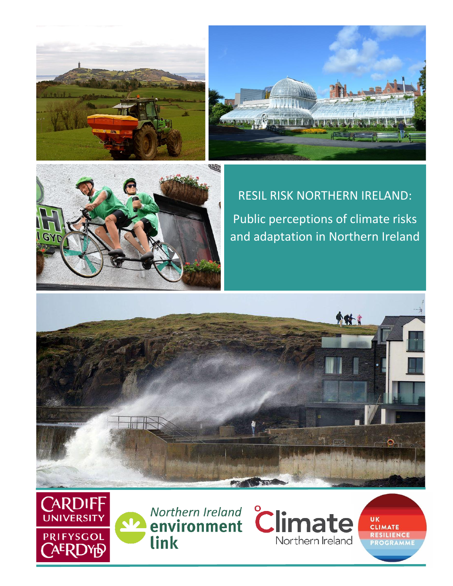





RESIL RISK NORTHERN IRELAND: Public perceptions of climate risks and adaptation in Northern Ireland









UK CLIMATE RESILIENCE **PROGR**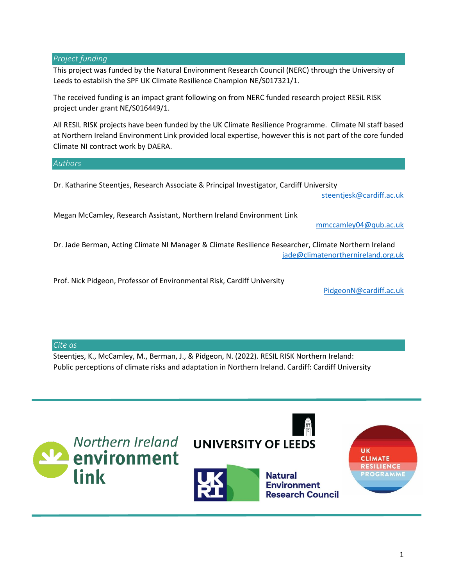#### *Project funding*

This project was funded by the Natural Environment Research Council (NERC) through the University of Leeds to establish the SPF UK Climate Resilience Champion NE/S017321/1.

The received funding is an impact grant following on from NERC funded research project RESiL RISK project under grant NE/S016449/1.

All RESIL RISK projects have been funded by the UK Climate Resilience Programme. Climate NI staff based at Northern Ireland Environment Link provided local expertise, however this is not part of the core funded Climate NI contract work by DAERA.

*Authors* 

Dr. Katharine Steentjes, Research Associate & Principal Investigator, Cardiff University

[steentjesk@cardiff.ac.uk](mailto:steentjesk@cardiff.ac.uk)

Megan McCamley, Research Assistant, Northern Ireland Environment Link

[mmccamley04@qub.ac.uk](mailto:mmccamley04@qub.ac.uk)

Dr. Jade Berman, Acting Climate NI Manager & Climate Resilience Researcher, Climate Northern Ireland [jade@climatenorthernireland.org.uk](mailto:jade@climatenorthernireland.org.uk)

Prof. Nick Pidgeon, Professor of Environmental Risk, Cardiff University

[PidgeonN@cardiff.ac.uk](mailto:PidgeonN@cardiff.ac.uk)

*Cite as*

Steentjes, K., McCamley, M., Berman, J., & Pidgeon, N. (2022). RESIL RISK Northern Ireland: Public perceptions of climate risks and adaptation in Northern Ireland. Cardiff: Cardiff University

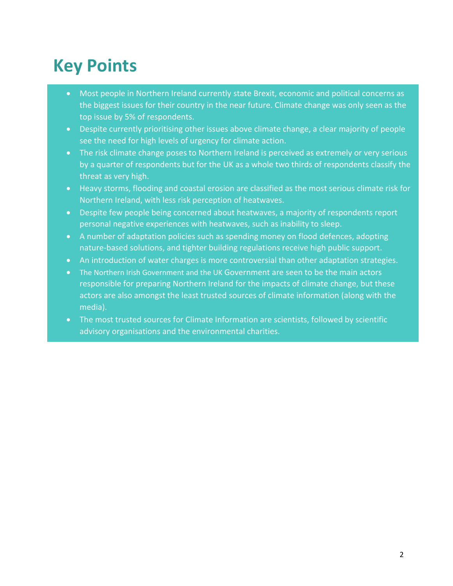# **Key Points**

- Most people in Northern Ireland currently state Brexit, economic and political concerns as the biggest issues for their country in the near future. Climate change was only seen as the top issue by 5% of respondents.
- Despite currently prioritising other issues above climate change, a clear majority of people see the need for high levels of urgency for climate action.
- The risk climate change poses to Northern Ireland is perceived as extremely or very serious by a quarter of respondents but for the UK as a whole two thirds of respondents classify the threat as very high.
- Heavy storms, flooding and coastal erosion are classified as the most serious climate risk for Northern Ireland, with less risk perception of heatwaves.
- Despite few people being concerned about heatwaves, a majority of respondents report personal negative experiences with heatwaves, such as inability to sleep.
- A number of adaptation policies such as spending money on flood defences, adopting nature-based solutions, and tighter building regulations receive high public support.
- An introduction of water charges is more controversial than other adaptation strategies.
- The Northern Irish Government and the UK Government are seen to be the main actors responsible for preparing Northern Ireland for the impacts of climate change, but these actors are also amongst the least trusted sources of climate information (along with the media).
- The most trusted sources for Climate Information are scientists, followed by scientific advisory organisations and the environmental charities.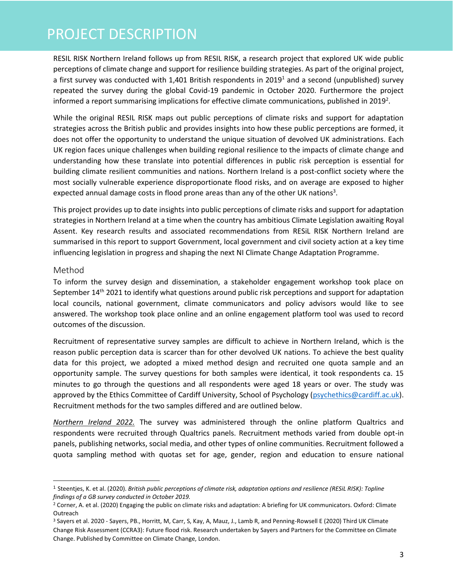### PROJECT DESCRIPTION

RESIL RISK Northern Ireland follows up from RESIL RISK, a research project that explored UK wide public perceptions of climate change and support for resilience building strategies. As part of the original project, a first survey was conducted with 1,401 British respondents in 2019<sup>1</sup> and a second (unpublished) survey repeated the survey during the global Covid-19 pandemic in October 2020. Furthermore the project informed a report summarising implications for effective climate communications, published in 2019<sup>2</sup>.

While the original RESIL RISK maps out public perceptions of climate risks and support for adaptation strategies across the British public and provides insights into how these public perceptions are formed, it does not offer the opportunity to understand the unique situation of devolved UK administrations. Each UK region faces unique challenges when building regional resilience to the impacts of climate change and understanding how these translate into potential differences in public risk perception is essential for building climate resilient communities and nations. Northern Ireland is a post-conflict society where the most socially vulnerable experience disproportionate flood risks, and on average are exposed to higher expected annual damage costs in flood prone areas than any of the other UK nations<sup>3</sup>.

This project provides up to date insights into public perceptions of climate risks and support for adaptation strategies in Northern Ireland at a time when the country has ambitious Climate Legislation awaiting Royal Assent. Key research results and associated recommendations from RESiL RISK Northern Ireland are summarised in this report to support Government, local government and civil society action at a key time influencing legislation in progress and shaping the next NI Climate Change Adaptation Programme.

#### Method

To inform the survey design and dissemination, a stakeholder engagement workshop took place on September 14<sup>th</sup> 2021 to identify what questions around public risk perceptions and support for adaptation local councils, national government, climate communicators and policy advisors would like to see answered. The workshop took place online and an online engagement platform tool was used to record outcomes of the discussion.

Recruitment of representative survey samples are difficult to achieve in Northern Ireland, which is the reason public perception data is scarcer than for other devolved UK nations. To achieve the best quality data for this project, we adopted a mixed method design and recruited one quota sample and an opportunity sample. The survey questions for both samples were identical, it took respondents ca. 15 minutes to go through the questions and all respondents were aged 18 years or over. The study was approved by the Ethics Committee of Cardiff University, School of Psychology [\(psychethics@cardiff.ac.uk\)](mailto:psychethics@cardiff.ac.uk). Recruitment methods for the two samples differed and are outlined below.

*Northern Ireland 2022.* The survey was administered through the online platform Qualtrics and respondents were recruited through Qualtrics panels. Recruitment methods varied from double opt-in panels, publishing networks, social media, and other types of online communities. Recruitment followed a quota sampling method with quotas set for age, gender, region and education to ensure national

<sup>1</sup> Steentjes, K. et al. (2020). *British public perceptions of climate risk, adaptation options and resilience (RESiL RISK): Topline findings of a GB survey conducted in October 2019.*

<sup>&</sup>lt;sup>2</sup> Corner, A. et al. (2020) Engaging the public on climate risks and adaptation: A briefing for UK communicators. Oxford: Climate Outreach

<sup>3</sup> Sayers et al. 2020 - Sayers, PB., Horritt, M, Carr, S, Kay, A, Mauz, J., Lamb R, and Penning-Rowsell E (2020) Third UK Climate Change Risk Assessment (CCRA3): Future flood risk. Research undertaken by Sayers and Partners for the Committee on Climate Change. Published by Committee on Climate Change, London.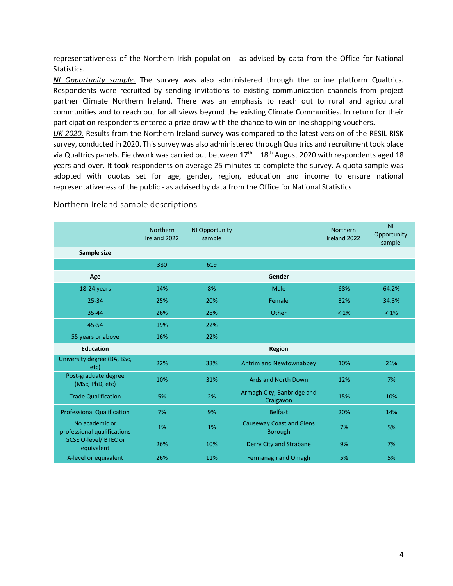representativeness of the Northern Irish population - as advised by data from the Office for National Statistics.

*NI Opportunity sample.* The survey was also administered through the online platform Qualtrics. Respondents were recruited by sending invitations to existing communication channels from project partner Climate Northern Ireland. There was an emphasis to reach out to rural and agricultural communities and to reach out for all views beyond the existing Climate Communities. In return for their participation respondents entered a prize draw with the chance to win online shopping vouchers.

*UK 2020.* Results from the Northern Ireland survey was compared to the latest version of the RESIL RISK survey, conducted in 2020. This survey was also administered through Qualtrics and recruitment took place via Qualtrics panels. Fieldwork was carried out between  $17<sup>th</sup> - 18<sup>th</sup>$  August 2020 with respondents aged 18 years and over. It took respondents on average 25 minutes to complete the survey. A quota sample was adopted with quotas set for age, gender, region, education and income to ensure national representativeness of the public - as advised by data from the Office for National Statistics

|                                               | Northern<br>Ireland 2022 | NI Opportunity<br>sample |                                                   | Northern<br>Ireland 2022 | <b>NI</b><br>Opportunity<br>sample |
|-----------------------------------------------|--------------------------|--------------------------|---------------------------------------------------|--------------------------|------------------------------------|
| Sample size                                   |                          |                          |                                                   |                          |                                    |
|                                               | 380                      | 619                      |                                                   |                          |                                    |
| Age                                           |                          |                          | Gender                                            |                          |                                    |
| 18-24 years                                   | 14%                      | 8%                       | Male                                              | 68%                      | 64.2%                              |
| $25 - 34$                                     | 25%                      | 20%                      | Female                                            | 32%                      | 34.8%                              |
| 35-44                                         | 26%                      | 28%                      | Other                                             | $< 1\%$                  | $< 1\%$                            |
| 45-54                                         | 19%                      | 22%                      |                                                   |                          |                                    |
| 55 years or above                             | 16%                      | 22%                      |                                                   |                          |                                    |
| <b>Education</b>                              |                          |                          | Region                                            |                          |                                    |
| University degree (BA, BSc,<br>etc)           | 22%                      | 33%                      | Antrim and Newtownabbey                           | 10%                      | 21%                                |
| Post-graduate degree<br>(MSc, PhD, etc)       | 10%                      | 31%                      | <b>Ards and North Down</b>                        | 12%                      | 7%                                 |
| <b>Trade Qualification</b>                    | 5%                       | 2%                       | Armagh City, Banbridge and<br>Craigavon           | 15%                      | 10%                                |
| <b>Professional Qualification</b>             | 7%                       | 9%                       | <b>Belfast</b>                                    | 20%                      | 14%                                |
| No academic or<br>professional qualifications | 1%                       | 1%                       | <b>Causeway Coast and Glens</b><br><b>Borough</b> | 7%                       | 5%                                 |
| <b>GCSE O-level/ BTEC or</b><br>equivalent    | 26%                      | 10%                      | Derry City and Strabane                           | 9%                       | 7%                                 |
| A-level or equivalent                         | 26%                      | 11%                      | <b>Fermanagh and Omagh</b>                        | 5%                       | 5%                                 |

Northern Ireland sample descriptions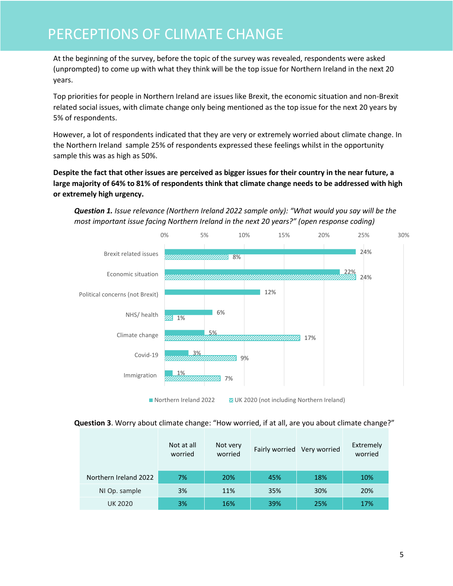### PERCEPTIONS OF CLIMATE CHANGE

At the beginning of the survey, before the topic of the survey was revealed, respondents were asked (unprompted) to come up with what they think will be the top issue for Northern Ireland in the next 20 years.

Top priorities for people in Northern Ireland are issues like Brexit, the economic situation and non-Brexit related social issues, with climate change only being mentioned as the top issue for the next 20 years by 5% of respondents.

However, a lot of respondents indicated that they are very or extremely worried about climate change. In the Northern Ireland sample 25% of respondents expressed these feelings whilst in the opportunity sample this was as high as 50%.

**Despite the fact that other issues are perceived as bigger issues for their country in the near future, a large majority of 64% to 81% of respondents think that climate change needs to be addressed with high or extremely high urgency.** 





■ Northern Ireland 2022 **22 20 UK 2020** (not including Northern Ireland)

#### **Question 3**. Worry about climate change: "How worried, if at all, are you about climate change?"

|                       | Not at all<br>worried | Not very<br>worried |     | Fairly worried Very worried | Extremely<br>worried |
|-----------------------|-----------------------|---------------------|-----|-----------------------------|----------------------|
| Northern Ireland 2022 | 7%                    | 20%                 | 45% | 18%                         | 10%                  |
| NI Op. sample         | 3%                    | 11%                 | 35% | 30%                         | 20%                  |
| <b>UK 2020</b>        | 3%                    | 16%                 | 39% | 25%                         | 17%                  |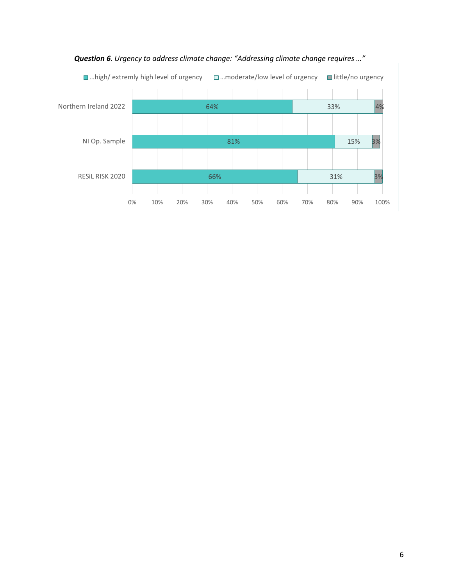

#### *Question 6. Urgency to address climate change: "Addressing climate change requires …"*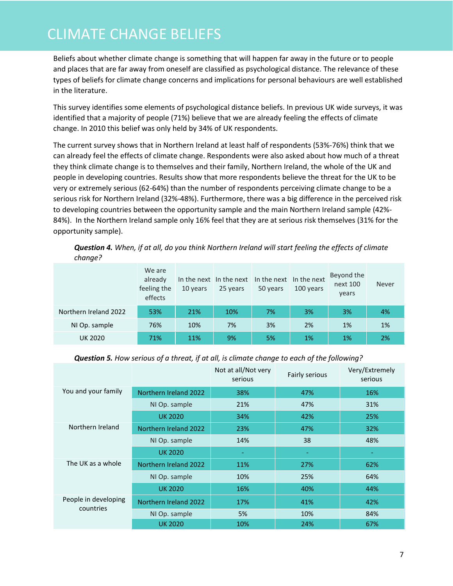### CLIMATE CHANGE BELIEFS

Beliefs about whether climate change is something that will happen far away in the future or to people and places that are far away from oneself are classified as psychological distance. The relevance of these types of beliefs for climate change concerns and implications for personal behaviours are well established in the literature.

This survey identifies some elements of psychological distance beliefs. In previous UK wide surveys, it was identified that a majority of people (71%) believe that we are already feeling the effects of climate change. In 2010 this belief was only held by 34% of UK respondents.

The current survey shows that in Northern Ireland at least half of respondents (53%-76%) think that we can already feel the effects of climate change. Respondents were also asked about how much of a threat they think climate change is to themselves and their family, Northern Ireland, the whole of the UK and people in developing countries. Results show that more respondents believe the threat for the UK to be very or extremely serious (62-64%) than the number of respondents perceiving climate change to be a serious risk for Northern Ireland (32%-48%). Furthermore, there was a big difference in the perceived risk to developing countries between the opportunity sample and the main Northern Ireland sample (42%- 84%). In the Northern Ireland sample only 16% feel that they are at serious risk themselves (31% for the opportunity sample).

*Question 4. When, if at all, do you think Northern Ireland will start feeling the effects of climate change?*

|                       | We are<br>already<br>feeling the<br>effects | 10 years | In the next In the next<br>25 years | In the next In the next<br>50 years | 100 years | Beyond the<br>next 100<br>years | <b>Never</b> |
|-----------------------|---------------------------------------------|----------|-------------------------------------|-------------------------------------|-----------|---------------------------------|--------------|
| Northern Ireland 2022 | 53%                                         | 21%      | 10%                                 | 7%                                  | 3%        | 3%                              | 4%           |
| NI Op. sample         | 76%                                         | 10%      | 7%                                  | 3%                                  | 2%        | 1%                              | 1%           |
| <b>UK 2020</b>        | 71%                                         | 11%      | 9%                                  | 5%                                  | 1%        | 1%                              | 2%           |

#### *Question 5. How serious of a threat, if at all, is climate change to each of the following?*

|                      |                       | Not at all/Not very<br>serious | Fairly serious | Very/Extremely<br>serious |
|----------------------|-----------------------|--------------------------------|----------------|---------------------------|
| You and your family  | Northern Ireland 2022 | 38%                            | 47%            | 16%                       |
|                      | NI Op. sample         | 21%                            | 47%            | 31%                       |
|                      | <b>UK 2020</b>        | 34%                            | 42%            | 25%                       |
| Northern Ireland     | Northern Ireland 2022 | 23%                            | 47%            | 32%                       |
|                      | NI Op. sample         | 14%                            | 38             | 48%                       |
|                      | <b>UK 2020</b>        | ٠                              | ٠              | ٠                         |
| The UK as a whole    | Northern Ireland 2022 | 11%                            | 27%            | 62%                       |
|                      | NI Op. sample         | 10%                            | 25%            | 64%                       |
|                      | <b>UK 2020</b>        | 16%                            | 40%            | 44%                       |
| People in developing | Northern Ireland 2022 | 17%                            | 41%            | 42%                       |
| countries            | NI Op. sample         | 5%                             | 10%            | 84%                       |
|                      | <b>UK 2020</b>        | 10%                            | 24%            | 67%                       |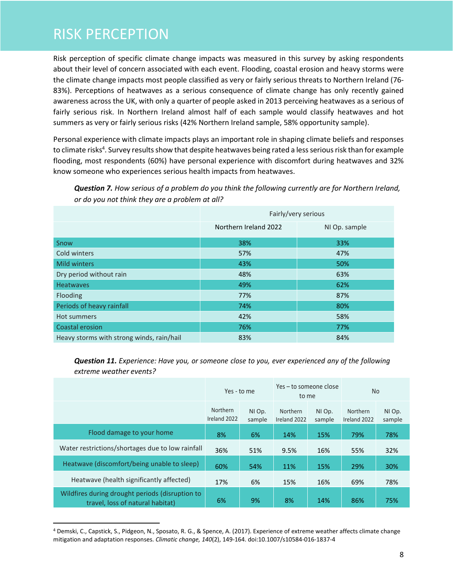### RISK PERCEPTION

Risk perception of specific climate change impacts was measured in this survey by asking respondents about their level of concern associated with each event. Flooding, coastal erosion and heavy storms were the climate change impacts most people classified as very or fairly serious threats to Northern Ireland (76- 83%). Perceptions of heatwaves as a serious consequence of climate change has only recently gained awareness across the UK, with only a quarter of people asked in 2013 perceiving heatwaves as a serious of fairly serious risk. In Northern Ireland almost half of each sample would classify heatwaves and hot summers as very or fairly serious risks (42% Northern Ireland sample, 58% opportunity sample).

Personal experience with climate impacts plays an important role in shaping climate beliefs and responses to climate risks<sup>4</sup>. Survey results show that despite heatwaves being rated a less serious risk than for example flooding, most respondents (60%) have personal experience with discomfort during heatwaves and 32% know someone who experiences serious health impacts from heatwaves.

*Question 7. How serious of a problem do you think the following currently are for Northern Ireland, or do you not think they are a problem at all?*

|                                           | Fairly/very serious   |               |  |  |  |
|-------------------------------------------|-----------------------|---------------|--|--|--|
|                                           | Northern Ireland 2022 | NI Op. sample |  |  |  |
| Snow                                      | 38%                   | 33%           |  |  |  |
| Cold winters                              | 57%                   | 47%           |  |  |  |
| <b>Mild winters</b>                       | 43%                   | 50%           |  |  |  |
| Dry period without rain                   | 48%                   | 63%           |  |  |  |
| <b>Heatwaves</b>                          | 49%                   | 62%           |  |  |  |
| Flooding                                  | 77%                   | 87%           |  |  |  |
| Periods of heavy rainfall                 | 74%                   | 80%           |  |  |  |
| <b>Hot summers</b>                        | 42%                   | 58%           |  |  |  |
| Coastal erosion                           | 76%                   | 77%           |  |  |  |
| Heavy storms with strong winds, rain/hail | 83%                   | 84%           |  |  |  |

*Question 11. Experience: Have you, or someone close to you, ever experienced any of the following extreme weather events?*

|                                                                                     | Yes - to me              |                  | Yes – to someone close<br>to me |                  | <b>No</b>                       |                  |
|-------------------------------------------------------------------------------------|--------------------------|------------------|---------------------------------|------------------|---------------------------------|------------------|
|                                                                                     | Northern<br>Ireland 2022 | NI Op.<br>sample | <b>Northern</b><br>Ireland 2022 | NI Op.<br>sample | <b>Northern</b><br>Ireland 2022 | NI Op.<br>sample |
| Flood damage to your home                                                           | 8%                       | 6%               | 14%                             | 15%              | 79%                             | 78%              |
| Water restrictions/shortages due to low rainfall                                    | 36%                      | 51%              | 9.5%                            | 16%              | 55%                             | 32%              |
| Heatwave (discomfort/being unable to sleep)                                         | 60%                      | 54%              | 11%                             | 15%              | 29%                             | 30%              |
| Heatwave (health significantly affected)                                            | 17%                      | 6%               | 15%                             | 16%              | 69%                             | 78%              |
| Wildfires during drought periods (disruption to<br>travel, loss of natural habitat) | 6%                       | 9%               | 8%                              | 14%              | 86%                             | 75%              |

<sup>4</sup> Demski, C., Capstick, S., Pidgeon, N., Sposato, R. G., & Spence, A. (2017). Experience of extreme weather affects climate change mitigation and adaptation responses. *Climatic change, 140*(2), 149-164. doi:10.1007/s10584-016-1837-4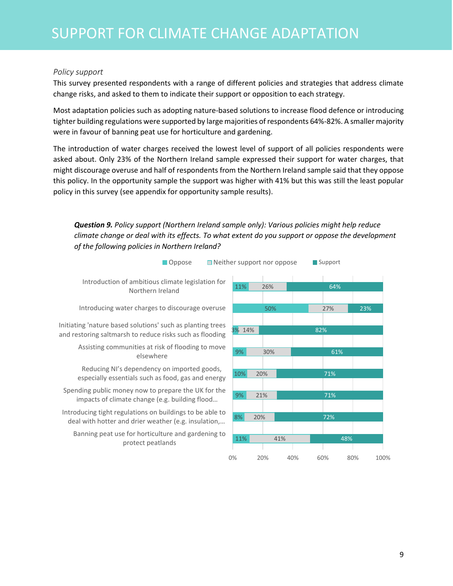#### *Policy support*

This survey presented respondents with a range of different policies and strategies that address climate change risks, and asked to them to indicate their support or opposition to each strategy.

Most adaptation policies such as adopting nature-based solutions to increase flood defence or introducing tighter building regulations were supported by large majorities of respondents 64%-82%. A smaller majority were in favour of banning peat use for horticulture and gardening.

The introduction of water charges received the lowest level of support of all policies respondents were asked about. Only 23% of the Northern Ireland sample expressed their support for water charges, that might discourage overuse and half of respondents from the Northern Ireland sample said that they oppose this policy. In the opportunity sample the support was higher with 41% but this was still the least popular policy in this survey (see appendix for opportunity sample results).

#### *Question 9. Policy support (Northern Ireland sample only): Various policies might help reduce climate change or deal with its effects. To what extent do you support or oppose the development of the following policies in Northern Ireland?*

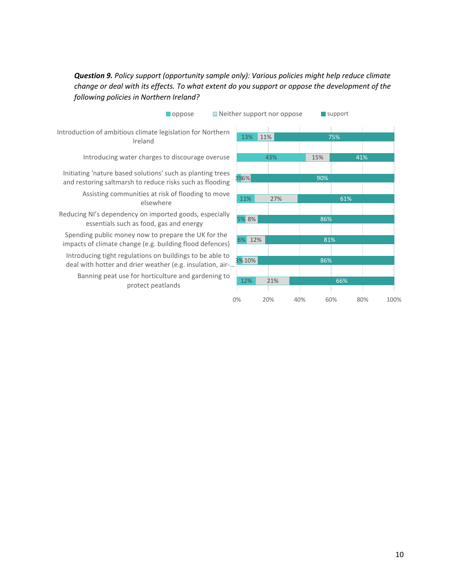### *Question 9. Policy support (opportunity sample only): Various policies might help reduce climate change or deal with its effects. To what extent do you support or oppose the development of the following policies in Northern Ireland?*

| <b>Oppose</b>                                                                                                          |        | $\blacksquare$ Neither support nor oppose |     | $\blacksquare$ support |
|------------------------------------------------------------------------------------------------------------------------|--------|-------------------------------------------|-----|------------------------|
| Introduction of ambitious climate legislation for Northern<br>Ireland                                                  | 13%    | 11%                                       | 75% |                        |
| Introducing water charges to discourage overuse                                                                        |        | 43%                                       | 15% | 41%                    |
| Initiating 'nature based solutions' such as planting trees<br>and restoring saltmarsh to reduce risks such as flooding | 3%6%   |                                           | 90% |                        |
| Assisting communities at risk of flooding to move<br>elsewhere                                                         | 11%    | 27%                                       |     | 61%                    |
| Reducing NI's dependency on imported goods, especially<br>essentials such as food, gas and energy                      | 5% 8%  |                                           | 86% |                        |
| Spending public money now to prepare the UK for the<br>impacts of climate change (e.g. building flood defences)        | 6% 12% |                                           | 81% |                        |
| Introducing tight regulations on buildings to be able to<br>deal with hotter and drier weather (e.g. insulation, air-  | 3%10%  |                                           | 86% |                        |
| Banning peat use for horticulture and gardening to<br>protect peatlands                                                | 12%    | 21%                                       |     | 66%                    |

0% 20% 40% 60% 80% 100%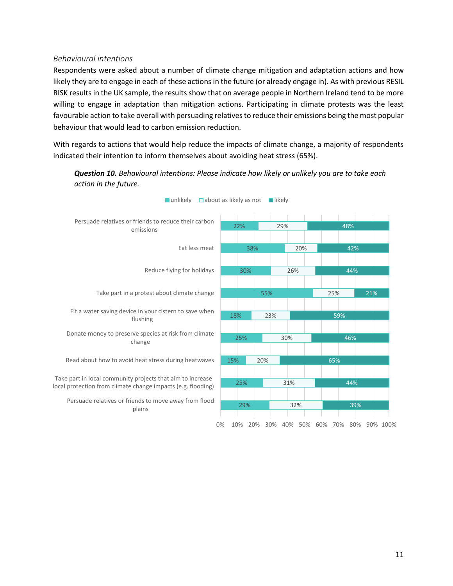#### *Behavioural intentions*

Respondents were asked about a number of climate change mitigation and adaptation actions and how likely they are to engage in each of these actions in the future (or already engage in). As with previous RESIL RISK results in the UK sample, the results show that on average people in Northern Ireland tend to be more willing to engage in adaptation than mitigation actions. Participating in climate protests was the least favourable action to take overall with persuading relatives to reduce their emissions being the most popular behaviour that would lead to carbon emission reduction.

With regards to actions that would help reduce the impacts of climate change, a majority of respondents indicated their intention to inform themselves about avoiding heat stress (65%).



*Question 10. Behavioural intentions: Please indicate how likely or unlikely you are to take each action in the future.*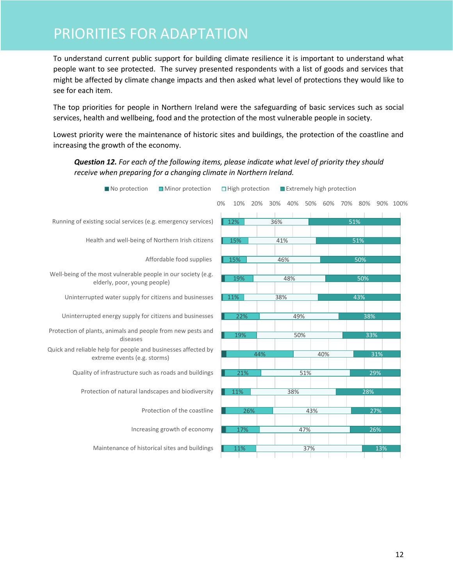### PRIORITIES FOR ADAPTATION

To understand current public support for building climate resilience it is important to understand what people want to see protected. The survey presented respondents with a list of goods and services that might be affected by climate change impacts and then asked what level of protections they would like to see for each item.

The top priorities for people in Northern Ireland were the safeguarding of basic services such as social services, health and wellbeing, food and the protection of the most vulnerable people in society.

Lowest priority were the maintenance of historic sites and buildings, the protection of the coastline and increasing the growth of the economy.

*Question 12. For each of the following items, please indicate what level of priority they should receive when preparing for a changing climate in Northern Ireland.*

| No protection<br>■ Minor protection                                                           |    |     | $\Box$ High protection |     | Extremely high protection |     |     |     |     |     |          |
|-----------------------------------------------------------------------------------------------|----|-----|------------------------|-----|---------------------------|-----|-----|-----|-----|-----|----------|
|                                                                                               | 0% | 10% | 20%                    | 30% | 40%                       | 50% | 60% | 70% | 80% |     | 90% 100% |
| Running of existing social services (e.g. emergency services)                                 |    | 12% |                        | 36% |                           |     |     | 51% |     |     |          |
| Health and well-being of Northern Irish citizens                                              |    | 15% |                        | 41% |                           |     |     |     | 51% |     |          |
| Affordable food supplies                                                                      |    | 15% |                        | 46% |                           |     |     |     | 50% |     |          |
| Well-being of the most vulnerable people in our society (e.g.<br>elderly, poor, young people) |    | 19% |                        |     | 48%                       |     |     |     | 50% |     |          |
| Uninterrupted water supply for citizens and businesses                                        |    | 11% |                        | 38% |                           |     |     |     | 43% |     |          |
| Uninterrupted energy supply for citizens and businesses                                       |    | 22% |                        |     | 49%                       |     |     |     | 38% |     |          |
| Protection of plants, animals and people from new pests and<br>diseases                       |    | 19% |                        |     | 50%                       |     |     |     | 33% |     |          |
| Quick and reliable help for people and businesses affected by<br>extreme events (e.g. storms) |    |     | 44%                    |     |                           |     | 40% |     |     | 31% |          |
| Quality of infrastructure such as roads and buildings                                         |    | 21% |                        |     |                           | 51% |     |     |     | 29% |          |
| Protection of natural landscapes and biodiversity                                             |    | 11% |                        |     | 38%                       |     |     |     | 28% |     |          |
| Protection of the coastline                                                                   |    |     | 26%                    |     |                           | 43% |     |     |     | 27% |          |
| Increasing growth of economy                                                                  |    | 17% |                        |     |                           | 47% |     |     |     | 26% |          |
| Maintenance of historical sites and buildings                                                 |    | 11% |                        |     |                           | 37% |     |     |     | 13% |          |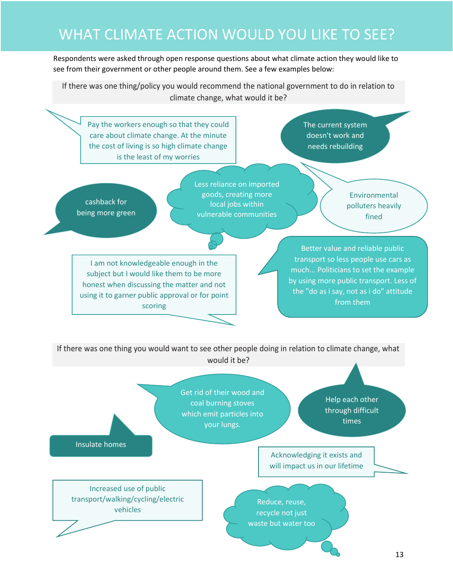## WHAT CLIMATE ACTION WOULD YOU LIKE TO SEE?

Respondents were asked through open response questions about what climate action they would like to see from their government or other people around them. See a few examples below:

If there was one thing/policy you would recommend the national government to do in relation to climate change, what would it be?

Pay the workers enough so that they could care about climate change. At the minute the cost of living is so high climate change is the least of my worries

The current system doesn't work and needs rebuilding

cashback for being more green Less reliance on imported goods, creating more local jobs within vulnerable communities

Environmental polluters heavily fined

I am not knowledgeable enough in the subject but I would like them to be more honest when discussing the matter and not using it to garner public approval or for point scoring

Better value and reliable public transport so less people use cars as much... Politicians to set the example by using more public transport. Less of the "do as i say, not as i do" attitude from them

If there was one thing you would want to see other people doing in relation to climate change, what would it be?

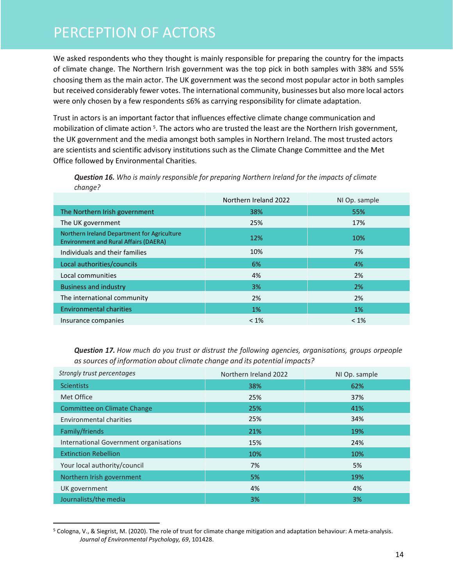### PERCEPTION OF ACTORS

We asked respondents who they thought is mainly responsible for preparing the country for the impacts of climate change. The Northern Irish government was the top pick in both samples with 38% and 55% choosing them as the main actor. The UK government was the second most popular actor in both samples but received considerably fewer votes. The international community, businesses but also more local actors were only chosen by a few respondents ≤6% as carrying responsibility for climate adaptation.

Trust in actors is an important factor that influences effective climate change communication and mobilization of climate action <sup>5</sup>. The actors who are trusted the least are the Northern Irish government, the UK government and the media amongst both samples in Northern Ireland. The most trusted actors are scientists and scientific advisory institutions such as the Climate Change Committee and the Met Office followed by Environmental Charities.

|                                                                                             | Northern Ireland 2022 | NI Op. sample |
|---------------------------------------------------------------------------------------------|-----------------------|---------------|
| The Northern Irish government                                                               | 38%                   | 55%           |
| The UK government                                                                           | 25%                   | 17%           |
| Northern Ireland Department for Agriculture<br><b>Environment and Rural Affairs (DAERA)</b> | 12%                   | 10%           |
| Individuals and their families                                                              | 10%                   | 7%            |
| Local authorities/councils                                                                  | 6%                    | 4%            |
| Local communities                                                                           | 4%                    | 2%            |
| <b>Business and industry</b>                                                                | 3%                    | 2%            |
| The international community                                                                 | 2%                    | 2%            |
| <b>Environmental charities</b>                                                              | 1%                    | 1%            |
| Insurance companies                                                                         | $< 1\%$               | $< 1\%$       |

*Question 16. Who is mainly responsible for preparing Northern Ireland for the impacts of climate change?* 

*Question 17. How much do you trust or distrust the following agencies, organisations, groups orpeople assources of information about climate change and its potential impacts?*

| Strongly trust percentages             | Northern Ireland 2022 | NI Op. sample |
|----------------------------------------|-----------------------|---------------|
| <b>Scientists</b>                      | 38%                   | 62%           |
| Met Office                             | 25%                   | 37%           |
| <b>Committee on Climate Change</b>     | 25%                   | 41%           |
| <b>Environmental charities</b>         | 25%                   | 34%           |
| Family/friends                         | 21%                   | 19%           |
| International Government organisations | 15%                   | 24%           |
| <b>Extinction Rebellion</b>            | 10%                   | 10%           |
| Your local authority/council           | 7%                    | 5%            |
| Northern Irish government              | 5%                    | 19%           |
| UK government                          | 4%                    | 4%            |
| Journalists/the media                  | 3%                    | 3%            |

<sup>5</sup> Cologna, V., & Siegrist, M. (2020). The role of trust for climate change mitigation and adaptation behaviour: A meta-analysis. *Journal of Environmental Psychology, 69*, 101428.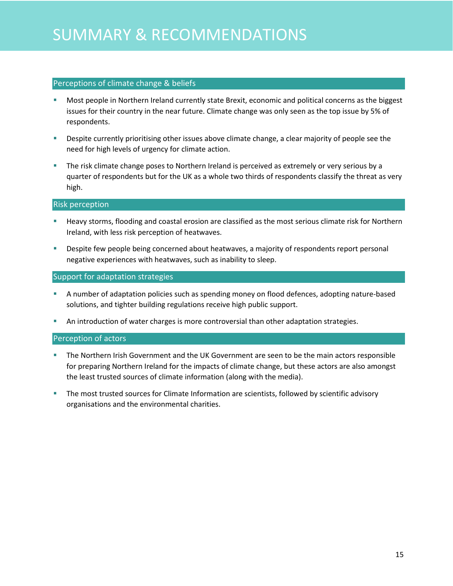#### Perceptions of climate change & beliefs

- Most people in Northern Ireland currently state Brexit, economic and political concerns as the biggest issues for their country in the near future. Climate change was only seen as the top issue by 5% of respondents.
- Despite currently prioritising other issues above climate change, a clear majority of people see the need for high levels of urgency for climate action.
- The risk climate change poses to Northern Ireland is perceived as extremely or very serious by a quarter of respondents but for the UK as a whole two thirds of respondents classify the threat as very high.

#### Risk perception

- **EXT** Heavy storms, flooding and coastal erosion are classified as the most serious climate risk for Northern Ireland, with less risk perception of heatwaves.
- **EXP** Despite few people being concerned about heatwaves, a majority of respondents report personal negative experiences with heatwaves, such as inability to sleep.

#### Support for adaptation strategies

- A number of adaptation policies such as spending money on flood defences, adopting nature-based solutions, and tighter building regulations receive high public support.
- **■** An introduction of water charges is more controversial than other adaptation strategies.

#### Perception of actors

- **The Northern Irish Government and the UK Government are seen to be the main actors responsible** for preparing Northern Ireland for the impacts of climate change, but these actors are also amongst the least trusted sources of climate information (along with the media).
- The most trusted sources for Climate Information are scientists, followed by scientific advisory organisations and the environmental charities.